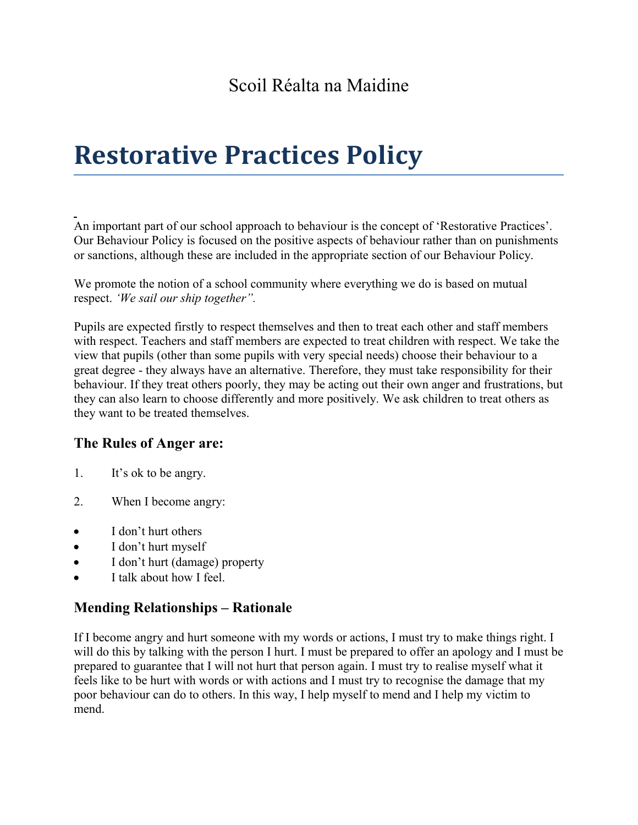# **Restorative Practices Policy**

An important part of our school approach to behaviour is the concept of 'Restorative Practices'. Our Behaviour Policy is focused on the positive aspects of behaviour rather than on punishments or sanctions, although these are included in the appropriate section of our Behaviour Policy.

We promote the notion of a school community where everything we do is based on mutual respect. *'We sail our ship together".* 

Pupils are expected firstly to respect themselves and then to treat each other and staff members with respect. Teachers and staff members are expected to treat children with respect. We take the view that pupils (other than some pupils with very special needs) choose their behaviour to a great degree - they always have an alternative. Therefore, they must take responsibility for their behaviour. If they treat others poorly, they may be acting out their own anger and frustrations, but they can also learn to choose differently and more positively. We ask children to treat others as they want to be treated themselves.

# **The Rules of Anger are:**

- 1. It's ok to be angry.
- 2. When I become angry:
- I don't hurt others
- I don't hurt myself
- I don't hurt (damage) property
- I talk about how I feel.

#### **Mending Relationships – Rationale**

If I become angry and hurt someone with my words or actions, I must try to make things right. I will do this by talking with the person I hurt. I must be prepared to offer an apology and I must be prepared to guarantee that I will not hurt that person again. I must try to realise myself what it feels like to be hurt with words or with actions and I must try to recognise the damage that my poor behaviour can do to others. In this way, I help myself to mend and I help my victim to mend.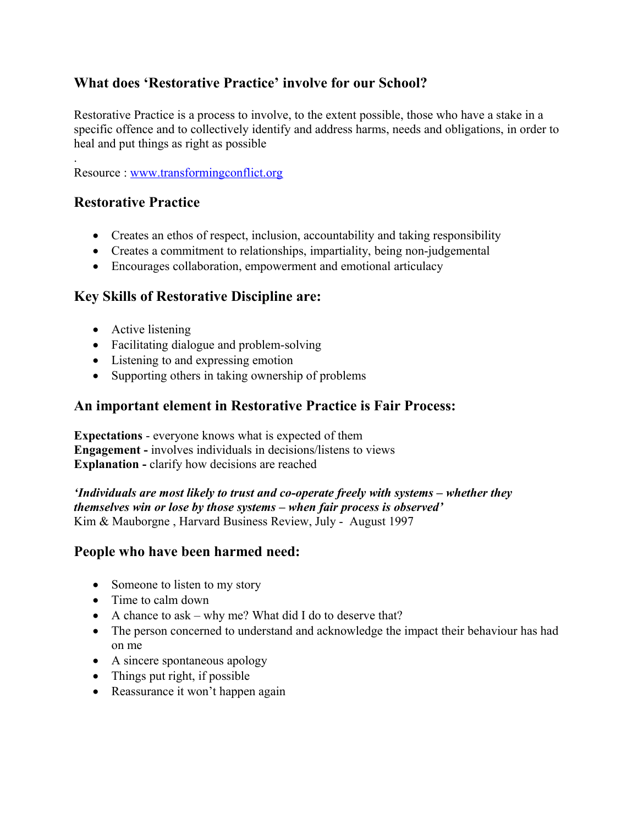## **What does 'Restorative Practice' involve for our School?**

Restorative Practice is a process to involve, to the extent possible, those who have a stake in a specific offence and to collectively identify and address harms, needs and obligations, in order to heal and put things as right as possible

. Resource : [www.transformingconflict.org](http://www.transformingconflict.org/)

# **Restorative Practice**

- Creates an ethos of respect, inclusion, accountability and taking responsibility
- Creates a commitment to relationships, impartiality, being non-judgemental
- Encourages collaboration, empowerment and emotional articulacy

## **Key Skills of Restorative Discipline are:**

- Active listening
- Facilitating dialogue and problem-solving
- Listening to and expressing emotion
- Supporting others in taking ownership of problems

#### **An important element in Restorative Practice is Fair Process:**

**Expectations** - everyone knows what is expected of them **Engagement -** involves individuals in decisions/listens to views **Explanation -** clarify how decisions are reached

*'Individuals are most likely to trust and co-operate freely with systems – whether they themselves win or lose by those systems – when fair process is observed'* Kim & Mauborgne , Harvard Business Review, July - August 1997

#### **People who have been harmed need:**

- Someone to listen to my story
- Time to calm down
- A chance to ask why me? What did I do to deserve that?
- The person concerned to understand and acknowledge the impact their behaviour has had on me
- A sincere spontaneous apology
- Things put right, if possible
- Reassurance it won't happen again